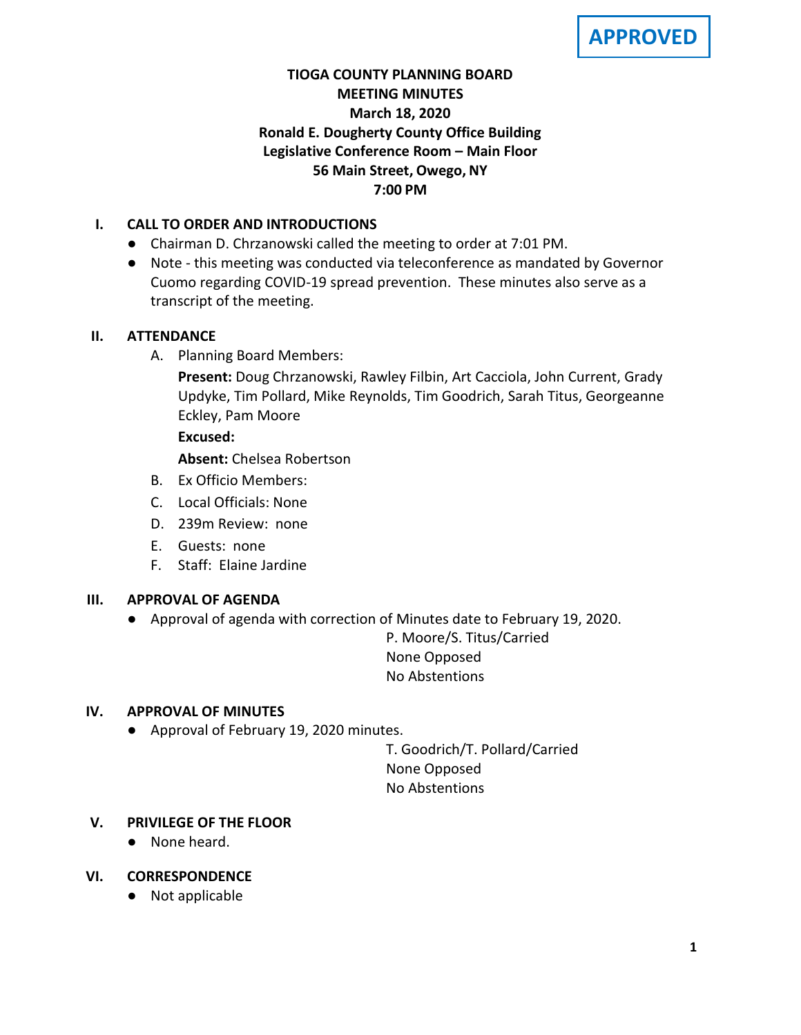**APPROVED**

# **TIOGA COUNTY PLANNING BOARD MEETING MINUTES March 18, 2020 Ronald E. Dougherty County Office Building Legislative Conference Room – Main Floor 56 Main Street, Owego, NY 7:00 PM**

# **I. CALL TO ORDER AND INTRODUCTIONS**

- Chairman D. Chrzanowski called the meeting to order at 7:01 PM.
- Note this meeting was conducted via teleconference as mandated by Governor Cuomo regarding COVID-19 spread prevention. These minutes also serve as a transcript of the meeting.

## **II. ATTENDANCE**

A. Planning Board Members:

**Present:** Doug Chrzanowski, Rawley Filbin, Art Cacciola, John Current, Grady Updyke, Tim Pollard, Mike Reynolds, Tim Goodrich, Sarah Titus, Georgeanne Eckley, Pam Moore

## **Excused:**

**Absent:** Chelsea Robertson

- B. Ex Officio Members:
- C. Local Officials: None
- D. 239m Review: none
- E. Guests: none
- F. Staff: Elaine Jardine

## **III. APPROVAL OF AGENDA**

● Approval of agenda with correction of Minutes date to February 19, 2020.

P. Moore/S. Titus/Carried None Opposed No Abstentions

## **IV. APPROVAL OF MINUTES**

● Approval of February 19, 2020 minutes.

T. Goodrich/T. Pollard/Carried None Opposed No Abstentions

## **V. PRIVILEGE OF THE FLOOR**

● None heard.

## **VI. CORRESPONDENCE**

● Not applicable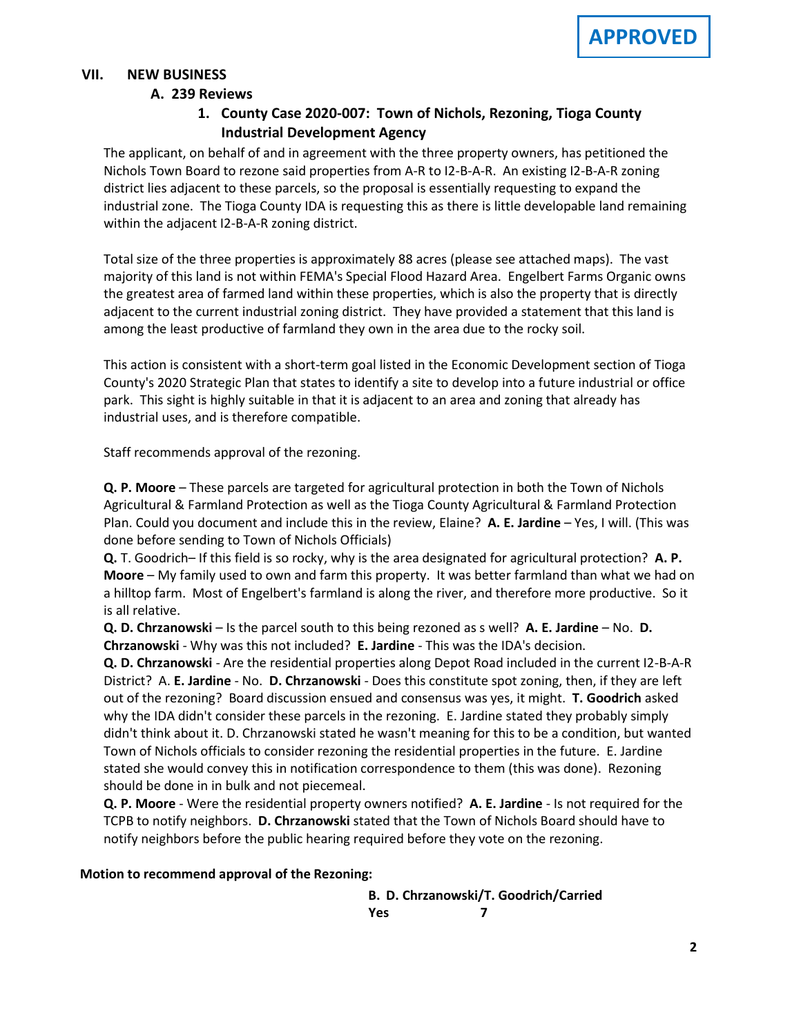## **VII. NEW BUSINESS**

### **A. A. 239 Reviews**

# **1. County Case 2020-007: Town of Nichols, Rezoning, Tioga County Industrial Development Agency**

The applicant, on behalf of and in agreement with the three property owners, has petitioned the Nichols Town Board to rezone said properties from A-R to I2-B-A-R. An existing I2-B-A-R zoning district lies adjacent to these parcels, so the proposal is essentially requesting to expand the industrial zone. The Tioga County IDA is requesting this as there is little developable land remaining within the adjacent I2-B-A-R zoning district.

Total size of the three properties is approximately 88 acres (please see attached maps). The vast majority of this land is not within FEMA's Special Flood Hazard Area. Engelbert Farms Organic owns the greatest area of farmed land within these properties, which is also the property that is directly adjacent to the current industrial zoning district. They have provided a statement that this land is among the least productive of farmland they own in the area due to the rocky soil.

This action is consistent with a short-term goal listed in the Economic Development section of Tioga County's 2020 Strategic Plan that states to identify a site to develop into a future industrial or office park. This sight is highly suitable in that it is adjacent to an area and zoning that already has industrial uses, and is therefore compatible.

Staff recommends approval of the rezoning.

**Q. P. Moore** – These parcels are targeted for agricultural protection in both the Town of Nichols Agricultural & Farmland Protection as well as the Tioga County Agricultural & Farmland Protection Plan. Could you document and include this in the review, Elaine? **A. E. Jardine** – Yes, I will. (This was done before sending to Town of Nichols Officials)

**Q.** T. Goodrich– If this field is so rocky, why is the area designated for agricultural protection? **A. P. Moore** – My family used to own and farm this property. It was better farmland than what we had on a hilltop farm. Most of Engelbert's farmland is along the river, and therefore more productive. So it is all relative.

**Q. D. Chrzanowski** – Is the parcel south to this being rezoned as s well? **A. E. Jardine** – No. **D. Chrzanowski** - Why was this not included? **E. Jardine** - This was the IDA's decision.

**Q. D. Chrzanowski** - Are the residential properties along Depot Road included in the current I2-B-A-R District? A. **E. Jardine** - No. **D. Chrzanowski** - Does this constitute spot zoning, then, if they are left out of the rezoning? Board discussion ensued and consensus was yes, it might. **T. Goodrich** asked why the IDA didn't consider these parcels in the rezoning. E. Jardine stated they probably simply didn't think about it. D. Chrzanowski stated he wasn't meaning for this to be a condition, but wanted Town of Nichols officials to consider rezoning the residential properties in the future. E. Jardine stated she would convey this in notification correspondence to them (this was done). Rezoning should be done in in bulk and not piecemeal.

**Q. P. Moore** - Were the residential property owners notified? **A. E. Jardine** - Is not required for the TCPB to notify neighbors. **D. Chrzanowski** stated that the Town of Nichols Board should have to notify neighbors before the public hearing required before they vote on the rezoning.

#### **Motion to recommend approval of the Rezoning:**

**B. D. Chrzanowski/T. Goodrich/Carried Yes 7**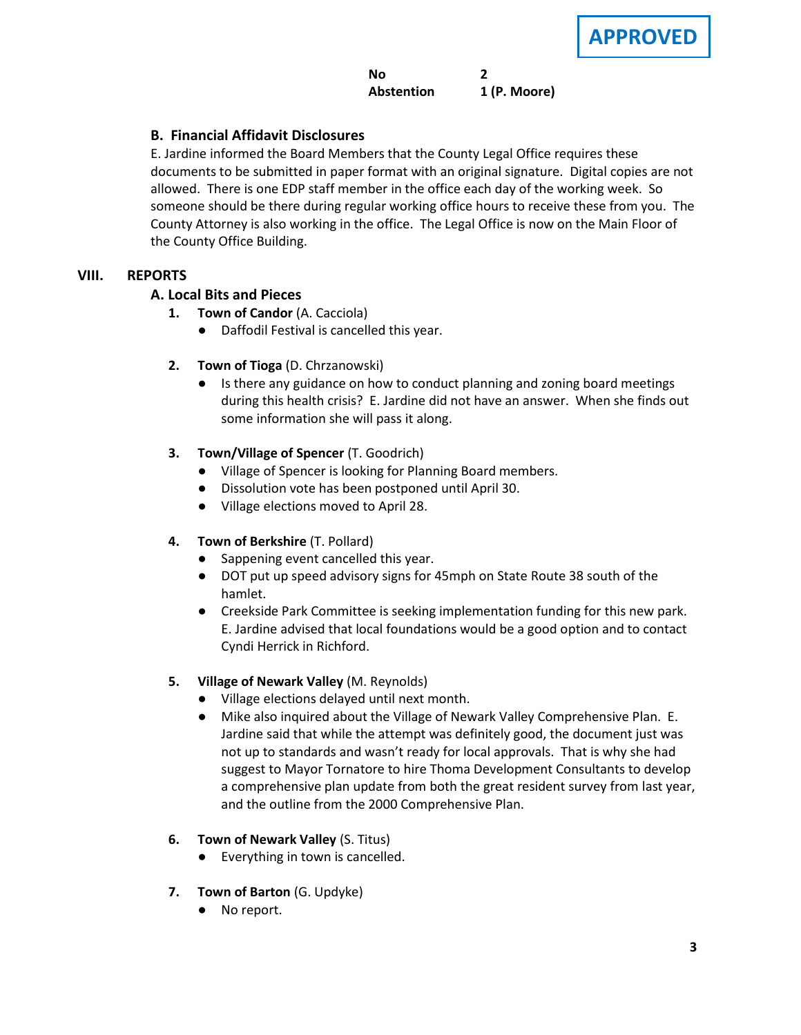### **No 2 Abstention 1 (P. Moore)**

## **C. B. Financial Affidavit Disclosures**

E. Jardine informed the Board Members that the County Legal Office requires these documents to be submitted in paper format with an original signature. Digital copies are not allowed. There is one EDP staff member in the office each day of the working week. So someone should be there during regular working office hours to receive these from you. The County Attorney is also working in the office. The Legal Office is now on the Main Floor of the County Office Building.

#### **VIII. REPORTS**

### **A. A. Local Bits and Pieces**

- **1. Town of Candor** (A. Cacciola)
	- Daffodil Festival is cancelled this year.
- **2. Town of Tioga** (D. Chrzanowski)
	- Is there any guidance on how to conduct planning and zoning board meetings during this health crisis? E. Jardine did not have an answer. When she finds out some information she will pass it along.
- **3. Town/Village of Spencer** (T. Goodrich)
	- Village of Spencer is looking for Planning Board members.
	- Dissolution vote has been postponed until April 30.
	- Village elections moved to April 28.

#### **4. Town of Berkshire** (T. Pollard)

- Sappening event cancelled this year.
- DOT put up speed advisory signs for 45mph on State Route 38 south of the hamlet.
- Creekside Park Committee is seeking implementation funding for this new park. E. Jardine advised that local foundations would be a good option and to contact Cyndi Herrick in Richford.

#### **5. Village of Newark Valley** (M. Reynolds)

- Village elections delayed until next month.
- Mike also inquired about the Village of Newark Valley Comprehensive Plan. E. Jardine said that while the attempt was definitely good, the document just was not up to standards and wasn't ready for local approvals. That is why she had suggest to Mayor Tornatore to hire Thoma Development Consultants to develop a comprehensive plan update from both the great resident survey from last year, and the outline from the 2000 Comprehensive Plan.
- **6. Town of Newark Valley** (S. Titus)
	- Everything in town is cancelled.
- **7. Town of Barton** (G. Updyke)
	- No report.